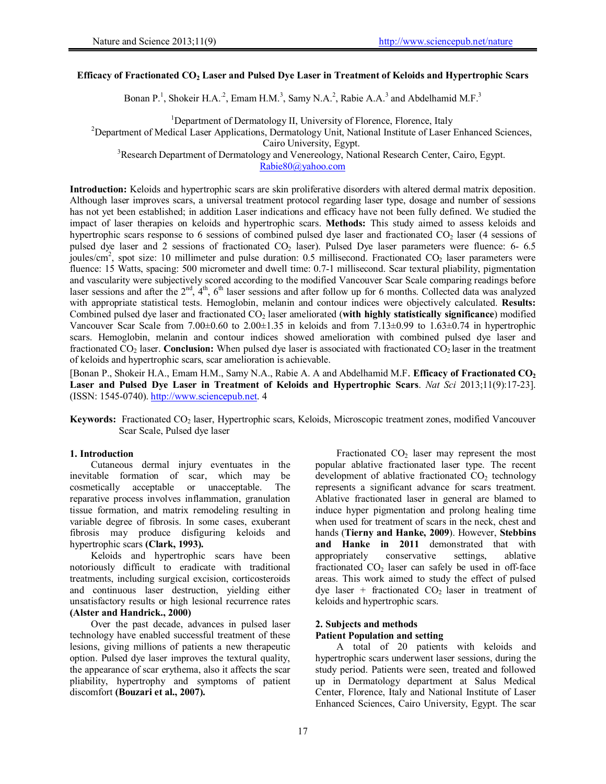### **Efficacy of Fractionated CO2 Laser and Pulsed Dye Laser in Treatment of Keloids and Hypertrophic Scars**

Bonan P.<sup>1</sup>, Shokeir H.A.<sup>2</sup>, Emam H.M.<sup>3</sup>, Samy N.A.<sup>2</sup>, Rabie A.A.<sup>3</sup> and Abdelhamid M.F.<sup>3</sup>

<sup>1</sup>Department of Dermatology II, University of Florence, Florence, Italy

<sup>1</sup> Department of Dermatology II, University of Florence, Florence, Italy <sup>2</sup> Department of Medical Laser Applications, Dermatology Unit, National Institute of Laser Enhanced Sciences,

Cairo University, Egypt.

<sup>3</sup>Research Department of Dermatology and Venereology, National Research Center, Cairo, Egypt.

Rabie80@yahoo.com

**Introduction:** Keloids and hypertrophic scars are skin proliferative disorders with altered dermal matrix deposition. Although laser improves scars, a universal treatment protocol regarding laser type, dosage and number of sessions has not yet been established; in addition Laser indications and efficacy have not been fully defined. We studied the impact of laser therapies on keloids and hypertrophic scars. **Methods:** This study aimed to assess keloids and hypertrophic scars response to 6 sessions of combined pulsed dye laser and fractionated  $CO<sub>2</sub>$  laser (4 sessions of pulsed dye laser and 2 sessions of fractionated  $CO<sub>2</sub>$  laser). Pulsed Dye laser parameters were fluence: 6- 6.5 joules/cm<sup>2</sup>, spot size: 10 millimeter and pulse duration: 0.5 millisecond. Fractionated  $CO<sub>2</sub>$  laser parameters were fluence: 15 Watts, spacing: 500 micrometer and dwell time: 0.7-1 millisecond. Scar textural pliability, pigmentation and vascularity were subjectively scored according to the modified Vancouver Scar Scale comparing readings before laser sessions and after the  $2<sup>nd</sup>$ ,  $4<sup>th</sup>$ ,  $6<sup>th</sup>$  laser sessions and after follow up for 6 months. Collected data was analyzed with appropriate statistical tests. Hemoglobin, melanin and contour indices were objectively calculated. **Results:**  Combined pulsed dye laser and fractionated CO2 laser ameliorated (**with highly statistically significance**) modified Vancouver Scar Scale from 7.00 $\pm$ 0.60 to 2.00 $\pm$ 1.35 in keloids and from 7.13 $\pm$ 0.99 to 1.63 $\pm$ 0.74 in hypertrophic scars. Hemoglobin, melanin and contour indices showed amelioration with combined pulsed dye laser and fractionated  $CO_2$  laser. **Conclusion:** When pulsed dye laser is associated with fractionated  $CO_2$  laser in the treatment of keloids and hypertrophic scars, scar amelioration is achievable.

[Bonan P., Shokeir H.A., Emam H.M., Samy N.A., Rabie A. A and Abdelhamid M.F. **Efficacy of Fractionated CO2 Laser and Pulsed Dye Laser in Treatment of Keloids and Hypertrophic Scars**. *Nat Sci* 2013;11(9):17-23]. (ISSN: 1545-0740). http://www.sciencepub.net. 4

Keywords: Fractionated CO<sub>2</sub> laser, Hypertrophic scars, Keloids, Microscopic treatment zones, modified Vancouver Scar Scale, Pulsed dye laser

### **1. Introduction**

Cutaneous dermal injury eventuates in the inevitable formation of scar, which may be cosmetically acceptable or unacceptable. The reparative process involves inflammation, granulation tissue formation, and matrix remodeling resulting in variable degree of fibrosis. In some cases, exuberant fibrosis may produce disfiguring keloids and hypertrophic scars **(Clark, 1993).**

Keloids and hypertrophic scars have been notoriously difficult to eradicate with traditional treatments, including surgical excision, corticosteroids and continuous laser destruction, yielding either unsatisfactory results or high lesional recurrence rates **(Alster and Handrick., 2000)**

Over the past decade, advances in pulsed laser technology have enabled successful treatment of these lesions, giving millions of patients a new therapeutic option. Pulsed dye laser improves the textural quality, the appearance of scar erythema, also it affects the scar pliability, hypertrophy and symptoms of patient discomfort **(Bouzari et al., 2007).** 

Fractionated  $CO<sub>2</sub>$  laser may represent the most popular ablative fractionated laser type. The recent development of ablative fractionated  $CO<sub>2</sub>$  technology represents a significant advance for scars treatment. Ablative fractionated laser in general are blamed to induce hyper pigmentation and prolong healing time when used for treatment of scars in the neck, chest and hands (**Tierny and Hanke, 2009**). However, **Stebbins and Hanke in 2011** demonstrated that with appropriately conservative settings, ablative fractionated  $CO<sub>2</sub>$  laser can safely be used in off-face areas. This work aimed to study the effect of pulsed dye laser + fractionated  $CO<sub>2</sub>$  laser in treatment of keloids and hypertrophic scars.

#### **2. Subjects and methods Patient Population and setting**

A total of 20 patients with keloids and hypertrophic scars underwent laser sessions, during the study period. Patients were seen, treated and followed up in Dermatology department at Salus Medical Center, Florence, Italy and National Institute of Laser Enhanced Sciences, Cairo University, Egypt. The scar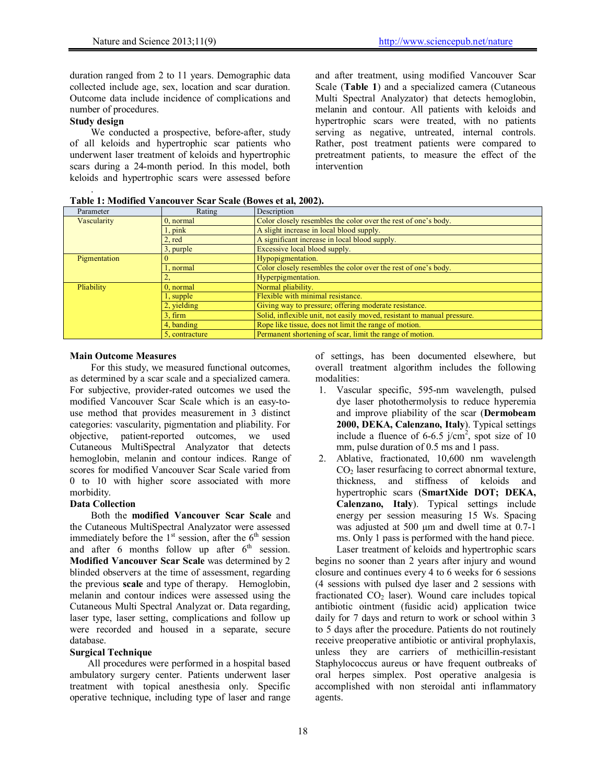duration ranged from 2 to 11 years. Demographic data collected include age, sex, location and scar duration. Outcome data include incidence of complications and number of procedures.

# **Study design**

.

We conducted a prospective, before-after, study of all keloids and hypertrophic scar patients who underwent laser treatment of keloids and hypertrophic scars during a 24-month period. In this model, both keloids and hypertrophic scars were assessed before and after treatment, using modified Vancouver Scar Scale (**Table 1**) and a specialized camera (Cutaneous Multi Spectral Analyzator) that detects hemoglobin, melanin and contour. All patients with keloids and hypertrophic scars were treated, with no patients serving as negative, untreated, internal controls. Rather, post treatment patients were compared to pretreatment patients, to measure the effect of the intervention

| Table 1: Modified Vancouver Scar Scale (Bowes et al, 2002). |  |
|-------------------------------------------------------------|--|
|-------------------------------------------------------------|--|

| Parameter    | Rating         | Description                                                             |
|--------------|----------------|-------------------------------------------------------------------------|
| Vascularity  | $0$ , normal   | Color closely resembles the color over the rest of one's body.          |
|              | $1$ , pink     | A slight increase in local blood supply.                                |
|              | 2, red         | A significant increase in local blood supply.                           |
|              | 3, purple      | Excessive local blood supply.                                           |
| Pigmentation |                | Hypopigmentation.                                                       |
|              | 1, normal      | Color closely resembles the color over the rest of one's body.          |
|              |                | Hyperpigmentation.                                                      |
| Pliability   | $0$ , normal   | Normal pliability.                                                      |
|              | $1$ , supple   | Flexible with minimal resistance.                                       |
|              | 2, yielding    | Giving way to pressure; offering moderate resistance.                   |
|              | $3.$ firm      | Solid, inflexible unit, not easily moved, resistant to manual pressure. |
|              | 4, banding     | Rope like tissue, does not limit the range of motion.                   |
|              | 5. contracture | Permanent shortening of scar, limit the range of motion.                |

## **Main Outcome Measures**

For this study, we measured functional outcomes, as determined by a scar scale and a specialized camera. For subjective, provider-rated outcomes we used the modified Vancouver Scar Scale which is an easy-touse method that provides measurement in 3 distinct categories: vascularity, pigmentation and pliability. For objective, patient-reported outcomes, we used Cutaneous MultiSpectral Analyzator that detects hemoglobin, melanin and contour indices. Range of scores for modified Vancouver Scar Scale varied from 0 to 10 with higher score associated with more morbidity.

### **Data Collection**

Both the **modified Vancouver Scar Scale** and the Cutaneous MultiSpectral Analyzator were assessed immediately before the  $1<sup>st</sup>$  session, after the  $6<sup>th</sup>$  session and after  $6$  months follow up after  $6<sup>th</sup>$  session. **Modified Vancouver Scar Scale** was determined by 2 blinded observers at the time of assessment, regarding the previous **scale** and type of therapy. Hemoglobin, melanin and contour indices were assessed using the Cutaneous Multi Spectral Analyzat or. Data regarding, laser type, laser setting, complications and follow up were recorded and housed in a separate, secure database.

## **Surgical Technique**

All procedures were performed in a hospital based ambulatory surgery center. Patients underwent laser treatment with topical anesthesia only. Specific operative technique, including type of laser and range of settings, has been documented elsewhere, but overall treatment algorithm includes the following modalities:

- 1. Vascular specific, 595-nm wavelength, pulsed dye laser photothermolysis to reduce hyperemia and improve pliability of the scar (**Dermobeam 2000, DEKA, Calenzano, Italy**). Typical settings include a fluence of 6-6.5  $j/cm^2$ , spot size of 10 mm, pulse duration of 0.5 ms and 1 pass.
- 2. Ablative, fractionated, 10,600 nm wavelength  $CO<sub>2</sub>$  laser resurfacing to correct abnormal texture, thickness, and stiffness of keloids and hypertrophic scars (**SmartXide DOT; DEKA, Calenzano, Italy**). Typical settings include energy per session measuring 15 Ws. Spacing was adjusted at 500  $\mu$ m and dwell time at 0.7-1 ms. Only 1 pass is performed with the hand piece.

Laser treatment of keloids and hypertrophic scars begins no sooner than 2 years after injury and wound closure and continues every 4 to 6 weeks for 6 sessions (4 sessions with pulsed dye laser and 2 sessions with fractionated  $CO<sub>2</sub>$  laser). Wound care includes topical antibiotic ointment (fusidic acid) application twice daily for 7 days and return to work or school within 3 to 5 days after the procedure. Patients do not routinely receive preoperative antibiotic or antiviral prophylaxis, unless they are carriers of methicillin-resistant Staphylococcus aureus or have frequent outbreaks of oral herpes simplex. Post operative analgesia is accomplished with non steroidal anti inflammatory agents.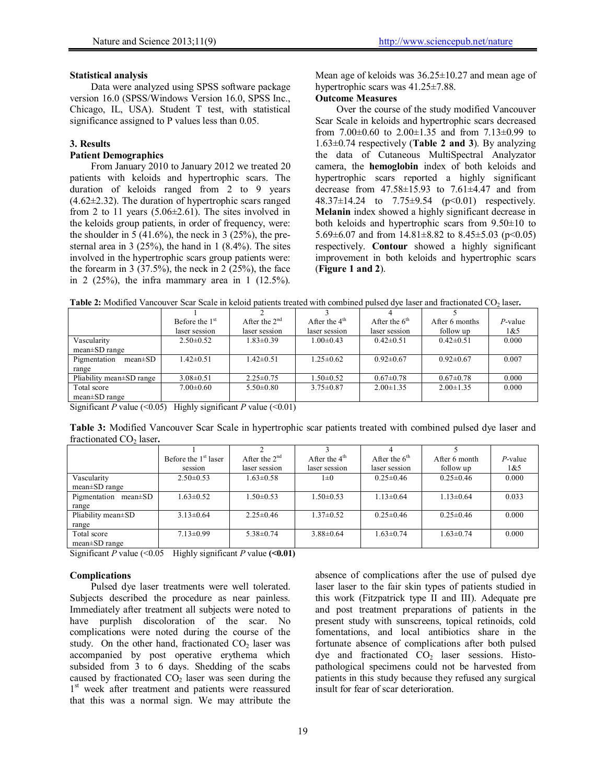## **Statistical analysis**

Data were analyzed using SPSS software package version 16.0 (SPSS/Windows Version 16.0, SPSS Inc., Chicago, IL, USA). Student T test, with statistical significance assigned to P values less than 0.05.

#### **3. Results**

# **Patient Demographics**

From January 2010 to January 2012 we treated 20 patients with keloids and hypertrophic scars. The duration of keloids ranged from 2 to 9 years (4.62±2.32). The duration of hypertrophic scars ranged from 2 to 11 years  $(5.06\pm2.61)$ . The sites involved in the keloids group patients, in order of frequency, were: the shoulder in  $\frac{1}{2}$  (41.6%), the neck in 3 (25%), the presternal area in  $3(25\%)$ , the hand in  $1(8.4\%)$ . The sites involved in the hypertrophic scars group patients were: the forearm in 3  $(37.5\%)$ , the neck in 2  $(25\%)$ , the face in 2  $(25\%)$ , the infra mammary area in 1  $(12.5\%)$ .

Mean age of keloids was 36.25±10.27 and mean age of hypertrophic scars was 41.25±7.88.

# **Outcome Measures**

Over the course of the study modified Vancouver Scar Scale in keloids and hypertrophic scars decreased from  $7.00\pm0.60$  to  $2.00\pm1.35$  and from  $7.13\pm0.99$  to 1.63±0.74 respectively (**Table 2 and 3**). By analyzing the data of Cutaneous MultiSpectral Analyzator camera, the **hemoglobin** index of both keloids and hypertrophic scars reported a highly significant decrease from 47.58±15.93 to 7.61±4.47 and from 48.37±14.24 to 7.75±9.54 (p<0.01) respectively. **Melanin** index showed a highly significant decrease in both keloids and hypertrophic scars from 9.50±10 to 5.69 $\pm$ 6.07 and from 14.81 $\pm$ 8.82 to 8.45 $\pm$ 5.03 (p<0.05) respectively. **Contour** showed a highly significant improvement in both keloids and hypertrophic scars (**Figure 1 and 2**).

|                               | Before the 1 <sup>st</sup> | After the $2nd$ | After the $4th$ | After the $6th$ | After 6 months  | $P$ -value |
|-------------------------------|----------------------------|-----------------|-----------------|-----------------|-----------------|------------|
|                               | laser session              | laser session   | laser session   | laser session   | follow up       | 1&5        |
| Vascularity                   | $2.50\pm0.52$              | $1.83 \pm 0.39$ | $1.00 \pm 0.43$ | $0.42\pm0.51$   | $0.42\pm 0.51$  | 0.000      |
| $mean \pm SD$ range           |                            |                 |                 |                 |                 |            |
| Pigmentation<br>$mean \pm SD$ | $1.42 \pm 0.51$            | $1.42 \pm 0.51$ | $1.25 \pm 0.62$ | $0.92\pm 0.67$  | $0.92\pm 0.67$  | 0.007      |
| range                         |                            |                 |                 |                 |                 |            |
| Pliability mean SD range      | $3.08 \pm 0.51$            | $2.25 \pm 0.75$ | $1.50 \pm 0.52$ | $0.67 \pm 0.78$ | $0.67 \pm 0.78$ | 0.000      |
| Total score                   | $7.00 \pm 0.60$            | $5.50\pm0.80$   | $3.75 \pm 0.87$ | $2.00 \pm 1.35$ | $2.00 \pm 1.35$ | 0.000      |
| $mean \pm SD$ range           |                            |                 |                 |                 |                 |            |

**Table 2:** Modified Vancouver Scar Scale in keloid patients treated with combined pulsed dye laser and fractionated CO<sub>2</sub> laser.

Significant *P* value  $(\leq 0.05)$  Highly significant *P* value  $(\leq 0.01)$ 

**Table 3:** Modified Vancouver Scar Scale in hypertrophic scar patients treated with combined pulsed dye laser and fractionated CO<sub>2</sub> laser.

|                               | Before the 1 <sup>st</sup> laser | After the $2nd$ | After the $4th$ | After the $6th$ | After 6 month   | $P$ -value |
|-------------------------------|----------------------------------|-----------------|-----------------|-----------------|-----------------|------------|
|                               | session                          | laser session   | laser session   | laser session   | follow up       | 1&5        |
| Vascularity                   | $2.50\pm0.53$                    | $1.63 \pm 0.58$ | $1\pm 0$        | $0.25 \pm 0.46$ | $0.25 \pm 0.46$ | 0.000      |
| $mean \pm SD$ range           |                                  |                 |                 |                 |                 |            |
| Pigmentation<br>$mean \pm SD$ | $1.63 \pm 0.52$                  | $1.50 \pm 0.53$ | $1.50 \pm 0.53$ | $1.13 \pm 0.64$ | $1.13 \pm 0.64$ | 0.033      |
| range                         |                                  |                 |                 |                 |                 |            |
| Pliability mean±SD            | $3.13 \pm 0.64$                  | $2.25 \pm 0.46$ | $1.37 \pm 0.52$ | $0.25 \pm 0.46$ | $0.25 \pm 0.46$ | 0.000      |
| range                         |                                  |                 |                 |                 |                 |            |
| Total score                   | $7.13 \pm 0.99$                  | $5.38 \pm 0.74$ | $3.88\pm0.64$   | $1.63 \pm 0.74$ | $1.63 \pm 0.74$ | 0.000      |
| $mean \pm SD$ range           |                                  |                 |                 |                 |                 |            |

Significant *P* value (<0.05 Highly significant *P* value **(<0.01)** 

#### **Complications**

Pulsed dye laser treatments were well tolerated. Subjects described the procedure as near painless. Immediately after treatment all subjects were noted to have purplish discoloration of the scar. No complications were noted during the course of the study. On the other hand, fractionated  $CO<sub>2</sub>$  laser was accompanied by post operative erythema which subsided from 3 to 6 days. Shedding of the scabs caused by fractionated  $CO<sub>2</sub>$  laser was seen during the 1<sup>st</sup> week after treatment and patients were reassured that this was a normal sign. We may attribute the

absence of complications after the use of pulsed dye laser laser to the fair skin types of patients studied in this work (Fitzpatrick type II and III). Adequate pre and post treatment preparations of patients in the present study with sunscreens, topical retinoids, cold fomentations, and local antibiotics share in the fortunate absence of complications after both pulsed dye and fractionated  $CO<sub>2</sub>$  laser sessions. Histopathological specimens could not be harvested from patients in this study because they refused any surgical insult for fear of scar deterioration.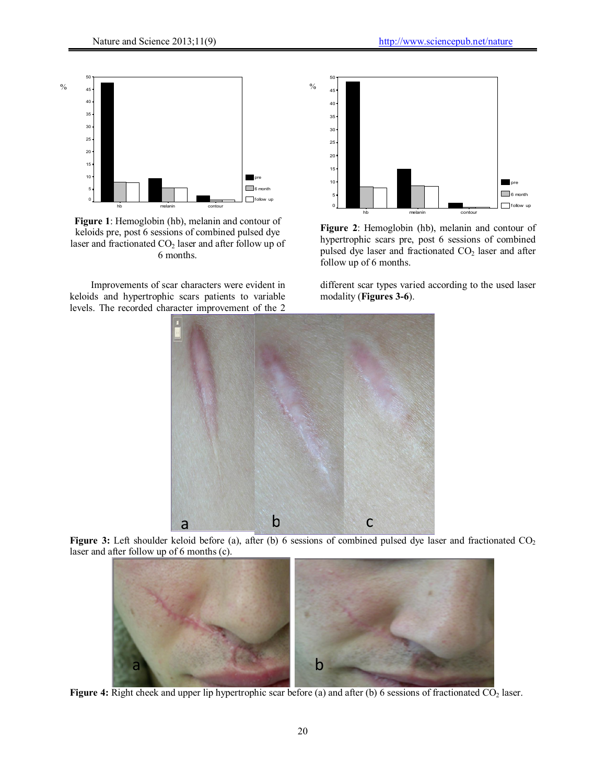

**Figure 1**: Hemoglobin (hb), melanin and contour of keloids pre, post 6 sessions of combined pulsed dye laser and fractionated CO<sub>2</sub> laser and after follow up of 6 months.

Improvements of scar characters were evident in keloids and hypertrophic scars patients to variable levels. The recorded character improvement of the 2



**Figure 2**: Hemoglobin (hb), melanin and contour of hypertrophic scars pre, post 6 sessions of combined pulsed dye laser and fractionated  $CO<sub>2</sub>$  laser and after follow up of 6 months.

different scar types varied according to the used laser modality (**Figures 3-6**).



Figure 3: Left shoulder keloid before (a), after (b) 6 sessions of combined pulsed dye laser and fractionated CO<sub>2</sub> laser and after follow up of 6 months (c).



**Figure 4:** Right cheek and upper lip hypertrophic scar before (a) and after (b) 6 sessions of fractionated CO<sub>2</sub> laser.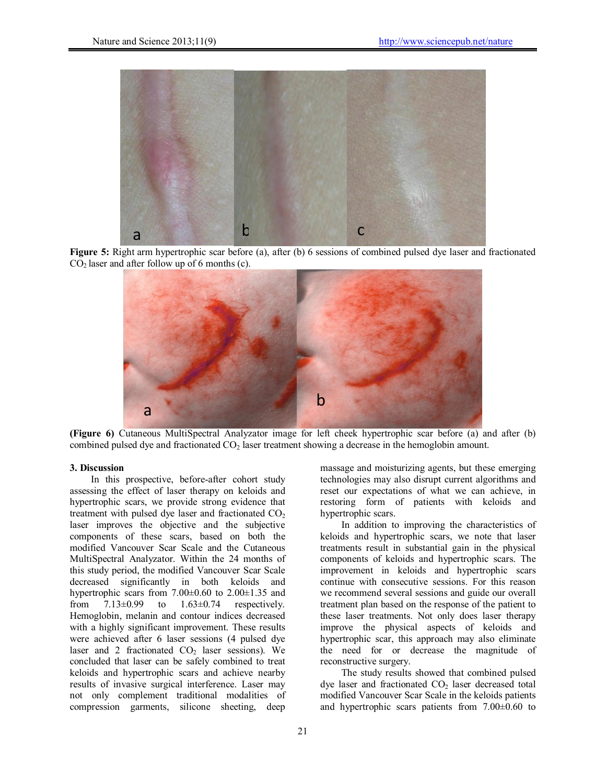

**Figure 5:** Right arm hypertrophic scar before (a), after (b) 6 sessions of combined pulsed dye laser and fractionated  $CO<sub>2</sub>$  laser and after follow up of 6 months (c).



**(Figure 6)** Cutaneous MultiSpectral Analyzator image for left cheek hypertrophic scar before (a) and after (b) combined pulsed dye and fractionated CO<sub>2</sub> laser treatment showing a decrease in the hemoglobin amount.

## **3. Discussion**

In this prospective, before-after cohort study assessing the effect of laser therapy on keloids and hypertrophic scars, we provide strong evidence that treatment with pulsed dye laser and fractionated  $CO<sub>2</sub>$ laser improves the objective and the subjective components of these scars, based on both the modified Vancouver Scar Scale and the Cutaneous MultiSpectral Analyzator. Within the 24 months of this study period, the modified Vancouver Scar Scale decreased significantly in both keloids and hypertrophic scars from  $7.00\pm0.60$  to  $2.00\pm1.35$  and from  $7.13\pm0.99$  to  $1.63\pm0.74$  respectively. from  $7.13\pm0.99$  to  $1.63\pm0.74$  respectively. Hemoglobin, melanin and contour indices decreased with a highly significant improvement. These results were achieved after 6 laser sessions (4 pulsed dye laser and 2 fractionated  $CO<sub>2</sub>$  laser sessions). We concluded that laser can be safely combined to treat keloids and hypertrophic scars and achieve nearby results of invasive surgical interference. Laser may not only complement traditional modalities of compression garments, silicone sheeting, deep

massage and moisturizing agents, but these emerging technologies may also disrupt current algorithms and reset our expectations of what we can achieve, in restoring form of patients with keloids and hypertrophic scars.

In addition to improving the characteristics of keloids and hypertrophic scars, we note that laser treatments result in substantial gain in the physical components of keloids and hypertrophic scars. The improvement in keloids and hypertrophic scars continue with consecutive sessions. For this reason we recommend several sessions and guide our overall treatment plan based on the response of the patient to these laser treatments. Not only does laser therapy improve the physical aspects of keloids and hypertrophic scar, this approach may also eliminate the need for or decrease the magnitude of reconstructive surgery.

The study results showed that combined pulsed dye laser and fractionated  $CO<sub>2</sub>$  laser decreased total modified Vancouver Scar Scale in the keloids patients and hypertrophic scars patients from 7.00±0.60 to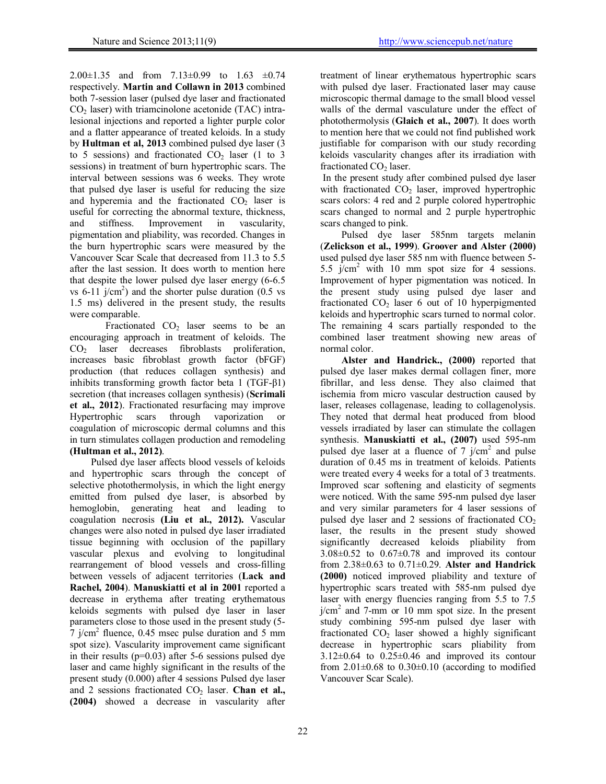2.00±1.35 and from 7.13±0.99 to 1.63 ±0.74 respectively. **Martin and Collawn in 2013** combined both 7-session laser (pulsed dye laser and fractionated  $CO<sub>2</sub>$  laser) with triamcinolone acetonide (TAC) intralesional injections and reported a lighter purple color and a flatter appearance of treated keloids. In a study by **Hultman et al, 2013** combined pulsed dye laser (3 to 5 sessions) and fractionated  $CO<sub>2</sub>$  laser (1 to 3 sessions) in treatment of burn hypertrophic scars. The interval between sessions was 6 weeks. They wrote that pulsed dye laser is useful for reducing the size and hyperemia and the fractionated  $CO<sub>2</sub>$  laser is useful for correcting the abnormal texture, thickness,<br>and stiffness. Improvement in vascularity, and stiffness. Improvement in pigmentation and pliability, was recorded. Changes in the burn hypertrophic scars were measured by the Vancouver Scar Scale that decreased from 11.3 to 5.5 after the last session. It does worth to mention here that despite the lower pulsed dye laser energy (6-6.5 vs  $6-11$  j/cm<sup>2</sup>) and the shorter pulse duration (0.5 vs 1.5 ms) delivered in the present study, the results were comparable.

Fractionated  $CO<sub>2</sub>$  laser seems to be an encouraging approach in treatment of keloids. The CO<sub>2</sub> laser decreases fibroblasts proliferation, increases basic fibroblast growth factor (bFGF) production (that reduces collagen synthesis) and inhibits transforming growth factor beta 1 (TGF-β1) secretion (that increases collagen synthesis) (**Scrimali et al., 2012**). Fractionated resurfacing may improve Hypertrophic scars through vaporization or coagulation of microscopic dermal columns and this in turn stimulates collagen production and remodeling **(Hultman et al., 2012)**.

Pulsed dye laser affects blood vessels of keloids and hypertrophic scars through the concept of selective photothermolysis, in which the light energy emitted from pulsed dye laser, is absorbed by hemoglobin, generating heat and leading to coagulation necrosis **(Liu et al., 2012).** Vascular changes were also noted in pulsed dye laser irradiated tissue beginning with occlusion of the papillary vascular plexus and evolving to longitudinal rearrangement of blood vessels and cross-filling between vessels of adjacent territories (**Lack and Rachel, 2004**). **Manuskiatti et al in 2001** reported a decrease in erythema after treating erythematous keloids segments with pulsed dye laser in laser parameters close to those used in the present study (5-  $7$  j/cm<sup>2</sup> fluence, 0.45 msec pulse duration and 5 mm spot size). Vascularity improvement came significant in their results  $(p=0.03)$  after 5-6 sessions pulsed dye laser and came highly significant in the results of the present study (0.000) after 4 sessions Pulsed dye laser and 2 sessions fractionated CO<sub>2</sub> laser. **Chan et al., (2004)** showed a decrease in vascularity after

treatment of linear erythematous hypertrophic scars with pulsed dye laser. Fractionated laser may cause microscopic thermal damage to the small blood vessel walls of the dermal vasculature under the effect of photothermolysis (**Glaich et al., 2007**). It does worth to mention here that we could not find published work justifiable for comparison with our study recording keloids vascularity changes after its irradiation with fractionated CO<sub>2</sub> laser.

 In the present study after combined pulsed dye laser with fractionated  $CO<sub>2</sub>$  laser, improved hypertrophic scars colors: 4 red and 2 purple colored hypertrophic scars changed to normal and 2 purple hypertrophic scars changed to pink.

Pulsed dye laser 585nm targets melanin (**Zelickson et al., 1999**). **Groover and Alster (2000)** used pulsed dye laser 585 nm with fluence between 5- 5.5  $\hat{j}$ /cm<sup>2</sup> with 10 mm spot size for 4 sessions. Improvement of hyper pigmentation was noticed. In the present study using pulsed dye laser and fractionated  $CO<sub>2</sub>$  laser 6 out of 10 hyperpigmented keloids and hypertrophic scars turned to normal color. The remaining 4 scars partially responded to the combined laser treatment showing new areas of normal color.

**Alster and Handrick., (2000)** reported that pulsed dye laser makes dermal collagen finer, more fibrillar, and less dense. They also claimed that ischemia from micro vascular destruction caused by laser, releases collagenase, leading to collagenolysis. They noted that dermal heat produced from blood vessels irradiated by laser can stimulate the collagen synthesis. **Manuskiatti et al., (2007)** used 595-nm pulsed dye laser at a fluence of  $7$  j/cm<sup>2</sup> and pulse duration of 0.45 ms in treatment of keloids. Patients were treated every 4 weeks for a total of 3 treatments. Improved scar softening and elasticity of segments were noticed. With the same 595-nm pulsed dye laser and very similar parameters for 4 laser sessions of pulsed dye laser and 2 sessions of fractionated  $CO<sub>2</sub>$ laser, the results in the present study showed significantly decreased keloids pliability from  $3.08\pm0.52$  to  $0.67\pm0.78$  and improved its contour from 2.38±0.63 to 0.71±0.29. **Alster and Handrick (2000)** noticed improved pliability and texture of hypertrophic scars treated with 585-nm pulsed dye laser with energy fluencies ranging from 5.5 to 7.5  $j/cm<sup>2</sup>$  and 7-mm or 10 mm spot size. In the present study combining 595-nm pulsed dye laser with fractionated  $CO<sub>2</sub>$  laser showed a highly significant decrease in hypertrophic scars pliability from  $3.12\pm0.64$  to  $0.25\pm0.46$  and improved its contour from  $2.01\pm0.68$  to  $0.30\pm0.10$  (according to modified Vancouver Scar Scale).